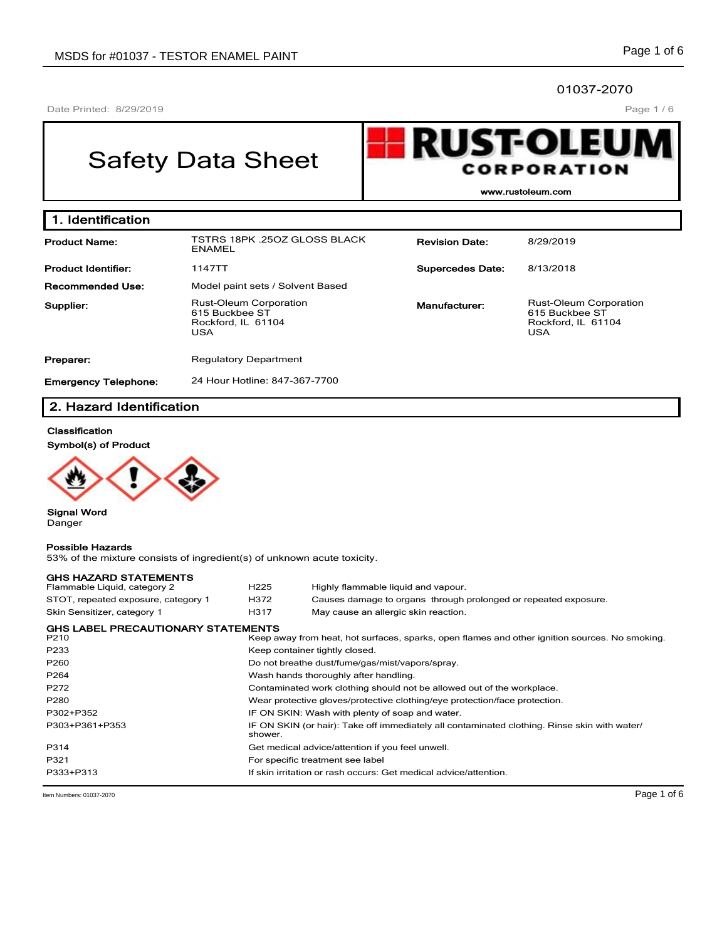#### 01037-2070

Date Printed: 8/29/2019

Page 1 / 6

# Safety Data Sheet



**www.rustoleum.com**

| 1. Identification           |                                                                                     |                         |                                                                                     |
|-----------------------------|-------------------------------------------------------------------------------------|-------------------------|-------------------------------------------------------------------------------------|
| <b>Product Name:</b>        | TSTRS 18PK .25OZ GLOSS BLACK<br>ENAMEL                                              | <b>Revision Date:</b>   | 8/29/2019                                                                           |
| <b>Product Identifier:</b>  | 1147TT                                                                              | <b>Supercedes Date:</b> | 8/13/2018                                                                           |
| <b>Recommended Use:</b>     | Model paint sets / Solvent Based                                                    |                         |                                                                                     |
| Supplier:                   | <b>Rust-Oleum Corporation</b><br>615 Buckbee ST<br>Rockford, IL 61104<br><b>USA</b> | Manufacturer:           | <b>Rust-Oleum Corporation</b><br>615 Buckbee ST<br>Rockford, IL 61104<br><b>USA</b> |
| Preparer:                   | <b>Regulatory Department</b>                                                        |                         |                                                                                     |
| <b>Emergency Telephone:</b> | 24 Hour Hotline: 847-367-7700                                                       |                         |                                                                                     |

# **2. Hazard Identification**

# **Classification**

**Symbol(s) of Product**



**Signal Word** Danger

#### **Possible Hazards**

53% of the mixture consists of ingredient(s) of unknown acute toxicity.

| <b>GHS HAZARD STATEMENTS</b>              |                                                                                                         |                                                                                                |  |  |  |
|-------------------------------------------|---------------------------------------------------------------------------------------------------------|------------------------------------------------------------------------------------------------|--|--|--|
| Flammable Liquid, category 2              | H <sub>225</sub>                                                                                        | Highly flammable liquid and vapour.                                                            |  |  |  |
| STOT, repeated exposure, category 1       | H372                                                                                                    | Causes damage to organs through prolonged or repeated exposure.                                |  |  |  |
| Skin Sensitizer, category 1               | H317                                                                                                    | May cause an allergic skin reaction.                                                           |  |  |  |
| <b>GHS LABEL PRECAUTIONARY STATEMENTS</b> |                                                                                                         |                                                                                                |  |  |  |
| P <sub>210</sub>                          |                                                                                                         | Keep away from heat, hot surfaces, sparks, open flames and other ignition sources. No smoking. |  |  |  |
| P233                                      | Keep container tightly closed.                                                                          |                                                                                                |  |  |  |
| P260                                      | Do not breathe dust/fume/gas/mist/vapors/spray.                                                         |                                                                                                |  |  |  |
| P264                                      | Wash hands thoroughly after handling.                                                                   |                                                                                                |  |  |  |
| P272                                      | Contaminated work clothing should not be allowed out of the workplace.                                  |                                                                                                |  |  |  |
| P280                                      | Wear protective gloves/protective clothing/eye protection/face protection.                              |                                                                                                |  |  |  |
| P302+P352                                 | IF ON SKIN: Wash with plenty of soap and water.                                                         |                                                                                                |  |  |  |
| P303+P361+P353                            | IF ON SKIN (or hair): Take off immediately all contaminated clothing. Rinse skin with water/<br>shower. |                                                                                                |  |  |  |
| P314                                      |                                                                                                         | Get medical advice/attention if you feel unwell.                                               |  |  |  |
| P321                                      |                                                                                                         | For specific treatment see label                                                               |  |  |  |
| P333+P313                                 |                                                                                                         | If skin irritation or rash occurs: Get medical advice/attention.                               |  |  |  |

Item Numbers: 01037-2070 **Page 1 of 6**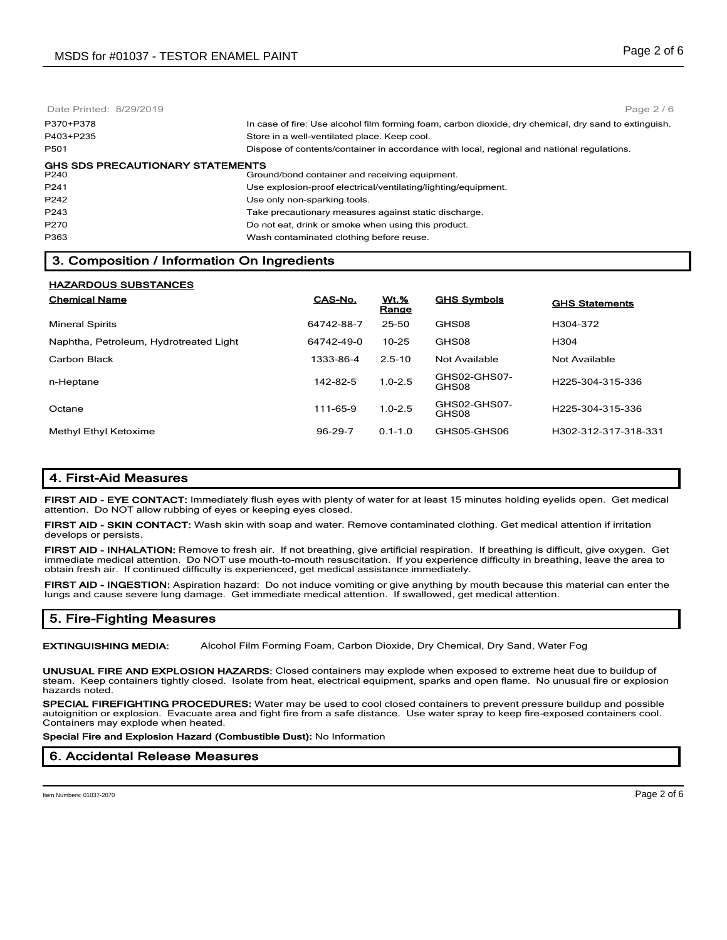Date Printed: 8/29/2019 P370+P378 In case of fire: Use alcohol film forming foam, carbon dioxide, dry chemical, dry sand to extinguish. P403+P235 Store in a well-ventilated place. Keep cool. P501 Dispose of contents/container in accordance with local, regional and national regulations. **GHS SDS PRECAUTIONARY STATEMENTS**<br>P240 **Grou** Ground/bond container and receiving equipment. P241 Use explosion-proof electrical/ventilating/lighting/equipment. P242 **Disk P242** Use only non-sparking tools. P243 Take precautionary measures against static discharge. P270 Do not eat, drink or smoke when using this product. P363 Wash contaminated clothing before reuse. Page 2 / 6

# **3. Composition / Information On Ingredients**

| <b>HAZARDOUS SUBSTANCES</b>            |            |                      |                       |                       |
|----------------------------------------|------------|----------------------|-----------------------|-----------------------|
| <b>Chemical Name</b>                   | CAS-No.    | <b>Wt.%</b><br>Range | <b>GHS Symbols</b>    | <b>GHS Statements</b> |
| <b>Mineral Spirits</b>                 | 64742-88-7 | 25-50                | GHS08                 | H304-372              |
| Naphtha, Petroleum, Hydrotreated Light | 64742-49-0 | $10 - 25$            | GHS08                 | H304                  |
| Carbon Black                           | 1333-86-4  | $2.5 - 10$           | Not Available         | Not Available         |
| n-Heptane                              | 142-82-5   | $1.0 - 2.5$          | GHS02-GHS07-<br>GHS08 | H225-304-315-336      |
| Octane                                 | 111-65-9   | $1.0 - 2.5$          | GHS02-GHS07-<br>GHS08 | H225-304-315-336      |
| <b>Methyl Ethyl Ketoxime</b>           | 96-29-7    | $0.1 - 1.0$          | GHS05-GHS06           | H302-312-317-318-331  |

## **4. First-Aid Measures**

**FIRST AID - EYE CONTACT:** Immediately flush eyes with plenty of water for at least 15 minutes holding eyelids open. Get medical attention. Do NOT allow rubbing of eyes or keeping eyes closed.

**FIRST AID - SKIN CONTACT:** Wash skin with soap and water. Remove contaminated clothing. Get medical attention if irritation develops or persists.

**FIRST AID - INHALATION:** Remove to fresh air. If not breathing, give artificial respiration. If breathing is difficult, give oxygen. Get immediate medical attention. Do NOT use mouth-to-mouth resuscitation. If you experience difficulty in breathing, leave the area to obtain fresh air. If continued difficulty is experienced, get medical assistance immediately.

**FIRST AID - INGESTION:** Aspiration hazard: Do not induce vomiting or give anything by mouth because this material can enter the lungs and cause severe lung damage. Get immediate medical attention. If swallowed, get medical attention.

## **5. Fire-Fighting Measures**

**EXTINGUISHING MEDIA:** Alcohol Film Forming Foam, Carbon Dioxide, Dry Chemical, Dry Sand, Water Fog

**UNUSUAL FIRE AND EXPLOSION HAZARDS:** Closed containers may explode when exposed to extreme heat due to buildup of steam. Keep containers tightly closed. Isolate from heat, electrical equipment, sparks and open flame. No unusual fire or explosion hazards noted.

**SPECIAL FIREFIGHTING PROCEDURES:** Water may be used to cool closed containers to prevent pressure buildup and possible autoignition or explosion. Evacuate area and fight fire from a safe distance. Use water spray to keep fire-exposed containers cool. Containers may explode when heated.

**Special Fire and Explosion Hazard (Combustible Dust):** No Information

#### **6. Accidental Release Measures**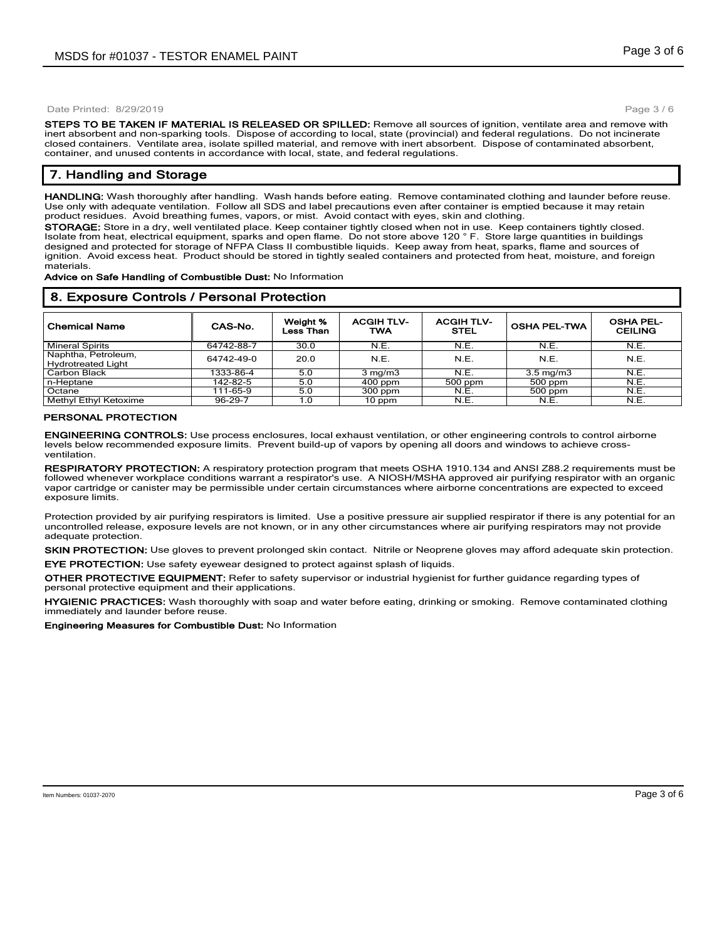Page 3 / 6

**STEPS TO BE TAKEN IF MATERIAL IS RELEASED OR SPILLED:** Remove all sources of ignition, ventilate area and remove with inert absorbent and non-sparking tools. Dispose of according to local, state (provincial) and federal regulations. Do not incinerate closed containers. Ventilate area, isolate spilled material, and remove with inert absorbent. Dispose of contaminated absorbent, container, and unused contents in accordance with local, state, and federal regulations.

## **7. Handling and Storage**

**HANDLING:** Wash thoroughly after handling. Wash hands before eating. Remove contaminated clothing and launder before reuse. Use only with adequate ventilation. Follow all SDS and label precautions even after container is emptied because it may retain product residues. Avoid breathing fumes, vapors, or mist. Avoid contact with eyes, skin and clothing.

**STORAGE:** Store in a dry, well ventilated place. Keep container tightly closed when not in use. Keep containers tightly closed. Isolate from heat, electrical equipment, sparks and open flame. Do not store above 120 ° F. Store large quantities in buildings designed and protected for storage of NFPA Class II combustible liquids. Keep away from heat, sparks, flame and sources of ignition. Avoid excess heat. Product should be stored in tightly sealed containers and protected from heat, moisture, and foreign materials.

**Advice on Safe Handling of Combustible Dust:** No Information

#### **8. Exposure Controls / Personal Protection**

| <b>Chemical Name</b>                             | CAS-No.       | Weight %<br>Less Than | <b>ACGIH TLV-</b><br>TWA | <b>ACGIH TLV-</b><br><b>STEL</b> | <b>OSHA PEL-TWA</b> | <b>OSHA PEL-</b><br><b>CEILING</b> |
|--------------------------------------------------|---------------|-----------------------|--------------------------|----------------------------------|---------------------|------------------------------------|
| <b>Mineral Spirits</b>                           | 64742-88-7    | 30.0                  | N.E.                     | N.E.                             | N.E.                | N.E.                               |
| Naphtha, Petroleum,<br><b>Hydrotreated Light</b> | 64742-49-0    | 20.0                  | N.E.                     | N.E.                             | N.E.                | N.E.                               |
| Carbon Black                                     | 1333-86-4     | 5.0                   | $3 \text{ mg/m}$         | N.E.                             | $3.5 \text{ mg/m}$  | N.E.                               |
| n-Heptane                                        | 142-82-5      | 5.0                   | $400$ ppm                | 500 ppm                          | 500 ppm             | N.E.                               |
| Octane                                           | 111-65-9      | 5.0                   | $300$ ppm                | N.E.                             | 500 ppm             | N.E.                               |
| Methyl Ethyl Ketoxime                            | $96 - 29 - 7$ | 1.0                   | 10 ppm                   | N.E.                             | N.E.                | N.E.                               |

#### **PERSONAL PROTECTION**

**ENGINEERING CONTROLS:** Use process enclosures, local exhaust ventilation, or other engineering controls to control airborne levels below recommended exposure limits. Prevent build-up of vapors by opening all doors and windows to achieve crossventilation.

**RESPIRATORY PROTECTION:** A respiratory protection program that meets OSHA 1910.134 and ANSI Z88.2 requirements must be followed whenever workplace conditions warrant a respirator's use. A NIOSH/MSHA approved air purifying respirator with an organic vapor cartridge or canister may be permissible under certain circumstances where airborne concentrations are expected to exceed exposure limits.

Protection provided by air purifying respirators is limited. Use a positive pressure air supplied respirator if there is any potential for an uncontrolled release, exposure levels are not known, or in any other circumstances where air purifying respirators may not provide adequate protection.

**SKIN PROTECTION:** Use gloves to prevent prolonged skin contact. Nitrile or Neoprene gloves may afford adequate skin protection. **EYE PROTECTION:** Use safety eyewear designed to protect against splash of liquids.

**OTHER PROTECTIVE EQUIPMENT:** Refer to safety supervisor or industrial hygienist for further guidance regarding types of personal protective equipment and their applications.

**HYGIENIC PRACTICES:** Wash thoroughly with soap and water before eating, drinking or smoking. Remove contaminated clothing immediately and launder before reuse.

**Engineering Measures for Combustible Dust:** No Information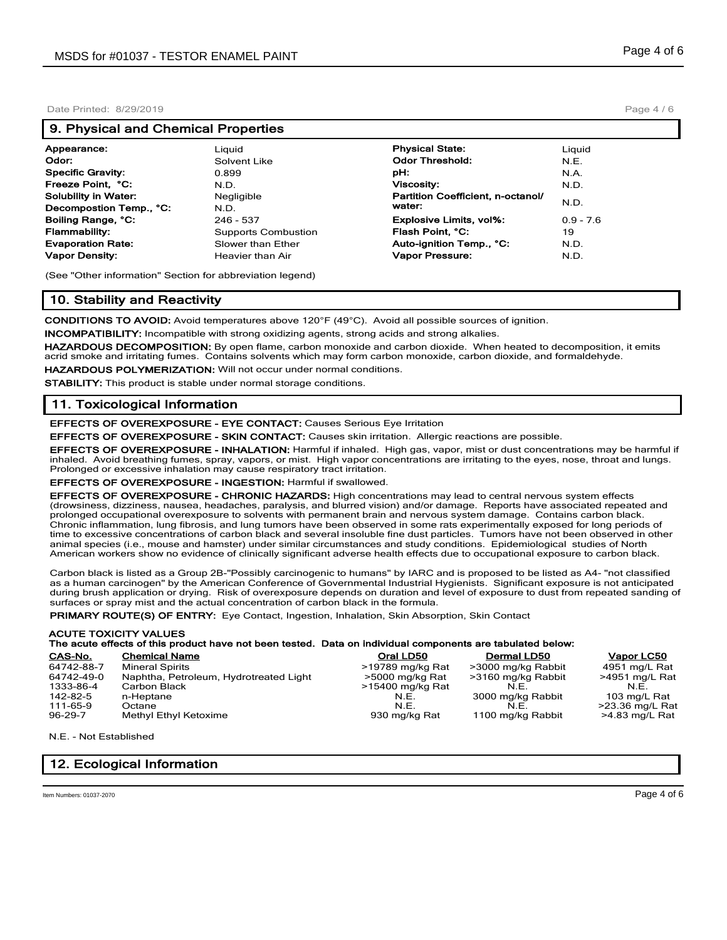#### **9. Physical and Chemical Properties**

| Appearance:              | Liauid                     | <b>Physical State:</b>            | Liguid      |
|--------------------------|----------------------------|-----------------------------------|-------------|
| Odor:                    | Solvent Like               | <b>Odor Threshold:</b>            | N.E.        |
| Specific Gravity:        | 0.899                      | pH:                               | N.A.        |
| Freeze Point, °C:        | N.D.                       | <b>Viscosity:</b>                 | N.D.        |
| Solubility in Water:     | Negligible                 | Partition Coefficient, n-octanol/ |             |
| Decompostion Temp., °C:  | N.D.                       | water:                            | N.D.        |
| Boiling Range, °C:       | 246 - 537                  | <b>Explosive Limits, vol%:</b>    | $0.9 - 7.6$ |
| Flammability:            | <b>Supports Combustion</b> | Flash Point. °C:                  | 19          |
| <b>Evaporation Rate:</b> | Slower than Ether          | Auto-ignition Temp., °C:          | N.D.        |
| Vapor Density:           | Heavier than Air           | Vapor Pressure:                   | N.D.        |
|                          |                            |                                   |             |

(See "Other information" Section for abbreviation legend)

## **10. Stability and Reactivity**

**CONDITIONS TO AVOID:** Avoid temperatures above 120°F (49°C). Avoid all possible sources of ignition.

**INCOMPATIBILITY:** Incompatible with strong oxidizing agents, strong acids and strong alkalies.

**HAZARDOUS DECOMPOSITION:** By open flame, carbon monoxide and carbon dioxide. When heated to decomposition, it emits acrid smoke and irritating fumes. Contains solvents which may form carbon monoxide, carbon dioxide, and formaldehyde.

**HAZARDOUS POLYMERIZATION:** Will not occur under normal conditions.

**STABILITY:** This product is stable under normal storage conditions.

## **11. Toxicological Information**

**EFFECTS OF OVEREXPOSURE - EYE CONTACT:** Causes Serious Eye Irritation

**EFFECTS OF OVEREXPOSURE - SKIN CONTACT:** Causes skin irritation. Allergic reactions are possible.

**EFFECTS OF OVEREXPOSURE - INHALATION:** Harmful if inhaled. High gas, vapor, mist or dust concentrations may be harmful if inhaled. Avoid breathing fumes, spray, vapors, or mist. High vapor concentrations are irritating to the eyes, nose, throat and lungs. Prolonged or excessive inhalation may cause respiratory tract irritation.

**EFFECTS OF OVEREXPOSURE - INGESTION:** Harmful if swallowed.

**EFFECTS OF OVEREXPOSURE - CHRONIC HAZARDS:** High concentrations may lead to central nervous system effects (drowsiness, dizziness, nausea, headaches, paralysis, and blurred vision) and/or damage. Reports have associated repeated and prolonged occupational overexposure to solvents with permanent brain and nervous system damage. Contains carbon black. Chronic inflammation, lung fibrosis, and lung tumors have been observed in some rats experimentally exposed for long periods of time to excessive concentrations of carbon black and several insoluble fine dust particles. Tumors have not been observed in other animal species (i.e., mouse and hamster) under similar circumstances and study conditions. Epidemiological studies of North American workers show no evidence of clinically significant adverse health effects due to occupational exposure to carbon black.

Carbon black is listed as a Group 2B-"Possibly carcinogenic to humans" by IARC and is proposed to be listed as A4- "not classified as a human carcinogen" by the American Conference of Governmental Industrial Hygienists. Significant exposure is not anticipated during brush application or drying. Risk of overexposure depends on duration and level of exposure to dust from repeated sanding of surfaces or spray mist and the actual concentration of carbon black in the formula.

**PRIMARY ROUTE(S) OF ENTRY:** Eye Contact, Ingestion, Inhalation, Skin Absorption, Skin Contact

#### **ACUTE TOXICITY VALUES The acute effects of this product have not been tested. Data on individual components are tabulated below:**

| CAS-No.    | <b>Chemical Name</b>                   | Oral LD50        | <b>Dermal LD50</b> | Vapor LC50      |
|------------|----------------------------------------|------------------|--------------------|-----------------|
| 64742-88-7 | <b>Mineral Spirits</b>                 | >19789 mg/kg Rat | >3000 mg/kg Rabbit | 4951 mg/L Rat   |
| 64742-49-0 | Naphtha, Petroleum, Hydrotreated Light | >5000 mg/kg Rat  | >3160 mg/kg Rabbit | >4951 mg/L Rat  |
| 1333-86-4  | Carbon Black                           | >15400 mg/kg Rat | N.E.               | N.E.            |
| 142-82-5   | n-Heptane                              | N.E.             | 3000 mg/kg Rabbit  | 103 mg/L Rat    |
| 111-65-9   | Octane                                 | N.E.             | N.E.               | >23.36 mg/L Rat |
| 96-29-7    | Methyl Ethyl Ketoxime                  | 930 mg/kg Rat    | 1100 mg/kg Rabbit  | >4.83 mg/L Rat  |

N.E. - Not Established

# **12. Ecological Information**

Page 4 / 6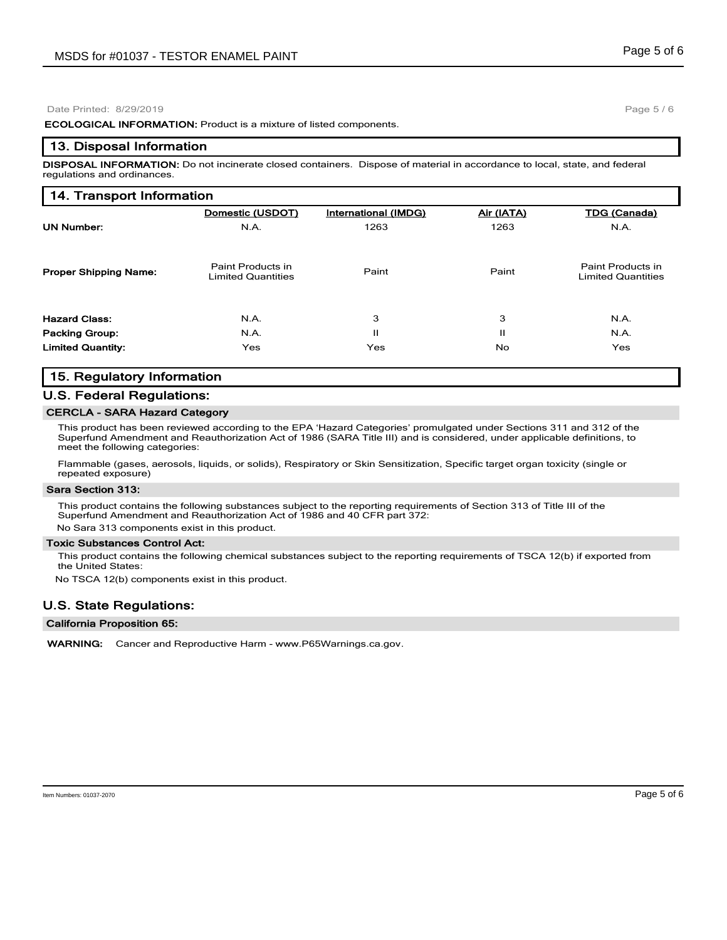**ECOLOGICAL INFORMATION:** Product is a mixture of listed components.

#### **13. Disposal Information**

**DISPOSAL INFORMATION:** Do not incinerate closed containers. Dispose of material in accordance to local, state, and federal regulations and ordinances.

# **14. Transport Information**

|                              | Domestic (USDOT)                               | International (IMDG) | Air (IATA) | TDG (Canada)                                   |
|------------------------------|------------------------------------------------|----------------------|------------|------------------------------------------------|
| <b>UN Number:</b>            | N.A.                                           | 1263                 | 1263       | N.A.                                           |
| <b>Proper Shipping Name:</b> | Paint Products in<br><b>Limited Quantities</b> | Paint                | Paint      | Paint Products in<br><b>Limited Quantities</b> |
| <b>Hazard Class:</b>         | N.A.                                           | 3                    | 3          | N.A.                                           |
| <b>Packing Group:</b>        | N.A.                                           | Ш                    | н          | N.A.                                           |
| <b>Limited Quantity:</b>     | Yes                                            | Yes                  | No.        | <b>Yes</b>                                     |

## **15. Regulatory Information**

## **U.S. Federal Regulations:**

#### **CERCLA - SARA Hazard Category**

This product has been reviewed according to the EPA 'Hazard Categories' promulgated under Sections 311 and 312 of the Superfund Amendment and Reauthorization Act of 1986 (SARA Title III) and is considered, under applicable definitions, to meet the following categories:

Flammable (gases, aerosols, liquids, or solids), Respiratory or Skin Sensitization, Specific target organ toxicity (single or repeated exposure)

#### **Sara Section 313:**

This product contains the following substances subject to the reporting requirements of Section 313 of Title III of the Superfund Amendment and Reauthorization Act of 1986 and 40 CFR part 372: No Sara 313 components exist in this product.

#### **Toxic Substances Control Act:**

This product contains the following chemical substances subject to the reporting requirements of TSCA 12(b) if exported from the United States:

No TSCA 12(b) components exist in this product.

# **U.S. State Regulations:**

#### **California Proposition 65:**

**WARNING:** Cancer and Reproductive Harm - www.P65Warnings.ca.gov.

Page 5 / 6